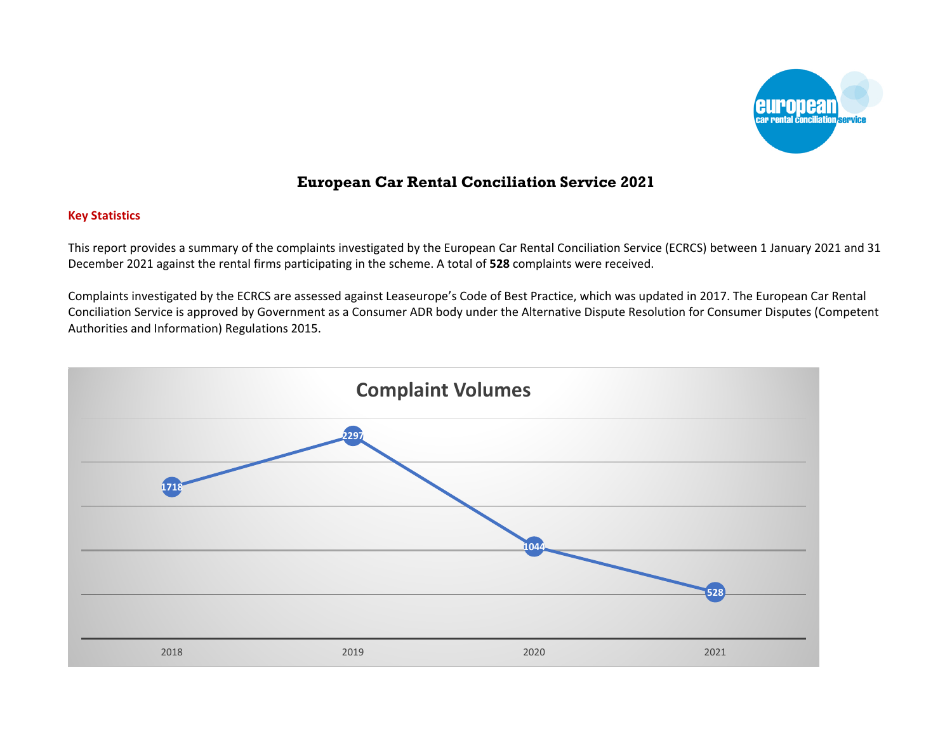

# **European Car Rental Conciliation Service 2021**

### **Key Statistics**

This report provides a summary of the complaints investigated by the European Car Rental Conciliation Service (ECRCS) between 1 January 2021 and 31 December 2021 against the rental firms participating in the scheme. A total of **528** complaints were received.

Complaints investigated by the ECRCS are assessed against Leaseurope's Code of Best Practice, which was updated in 2017. The European Car Rental Conciliation Service is approved by Government as a Consumer ADR body under the Alternative Dispute Resolution for Consumer Disputes (Competent Authorities and Information) Regulations 2015.

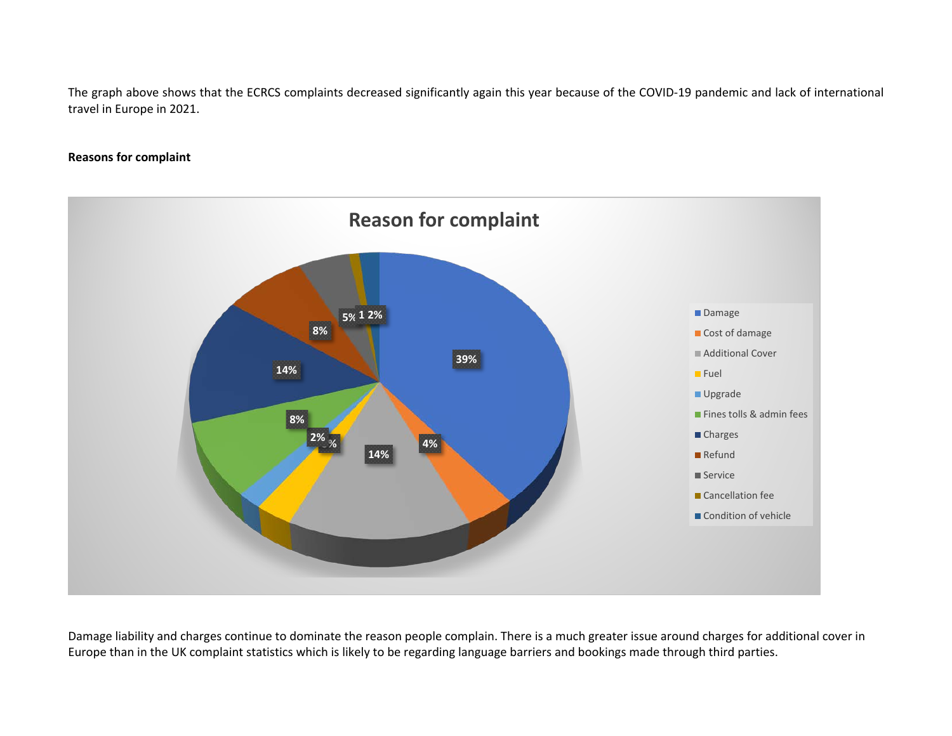The graph above shows that the ECRCS complaints decreased significantly again this year because of the COVID-19 pandemic and lack of international travel in Europe in 2021.

### **Reasons for complaint**



Damage liability and charges continue to dominate the reason people complain. There is a much greater issue around charges for additional cover in Europe than in the UK complaint statistics which is likely to be regarding language barriers and bookings made through third parties.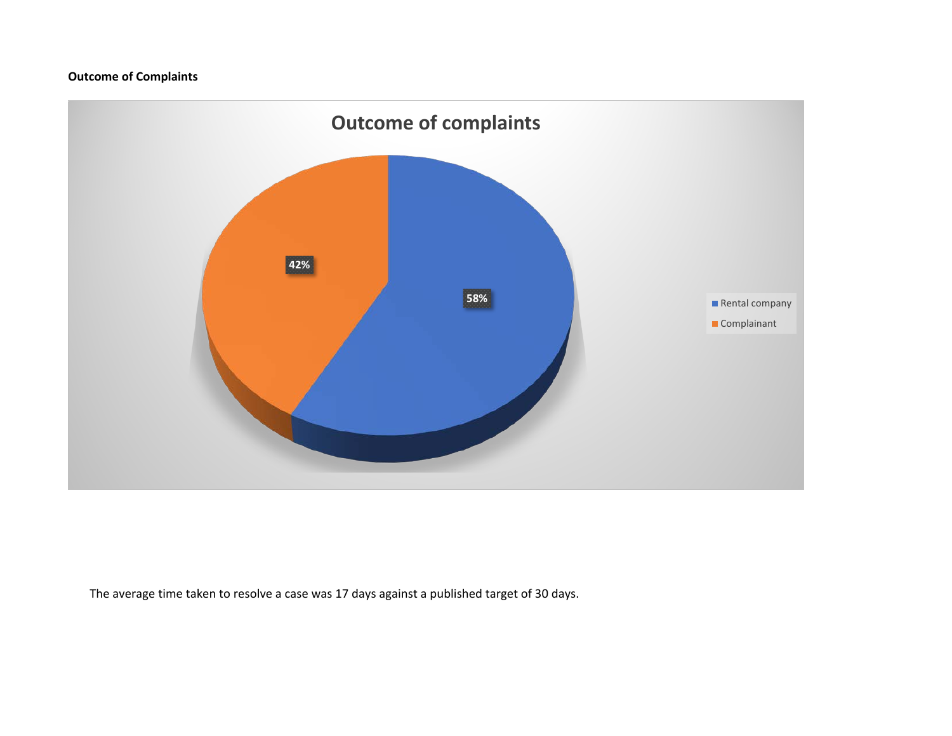## **Outcome of Complaints**



The average time taken to resolve a case was 17 days against a published target of 30 days.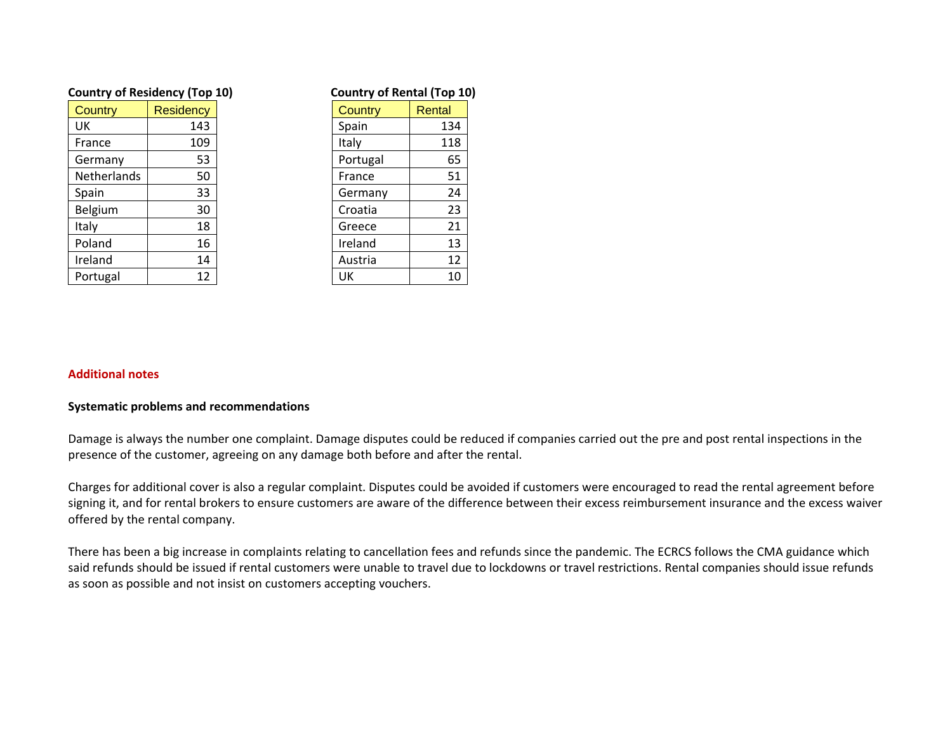| <b>Country of Residency (Top 10)</b> |                  |  | <b>Country of Rental (Top 10)</b> |        |
|--------------------------------------|------------------|--|-----------------------------------|--------|
| Country                              | <b>Residency</b> |  | Country                           | Rental |
| UK                                   | 143              |  | Spain                             | 134    |
| France                               | 109              |  | Italy                             | 118    |
| Germany                              | 53               |  | Portugal                          | 65     |
| <b>Netherlands</b>                   | 50               |  | France                            | 51     |
| Spain                                | 33               |  | Germany                           | 24     |
| Belgium                              | 30               |  | Croatia                           | 23     |
| Italy                                | 18               |  | Greece                            | 21     |
| Poland                               | 16               |  | Ireland                           | 13     |
| Ireland                              | 14               |  | Austria                           | 12     |
| Portugal                             | 12               |  | UK                                | 10     |

| <b>Country of Rental (Top 10</b> |        |  |  |
|----------------------------------|--------|--|--|
| <b>Country</b>                   | Rental |  |  |
| Spain                            | 134    |  |  |
| Italy                            | 118    |  |  |
| Portugal                         | 65     |  |  |
| France                           | 51     |  |  |
| Germany                          | 24     |  |  |
| Croatia                          | 23     |  |  |
| Greece                           | 21     |  |  |
| Ireland                          | 13     |  |  |
| Austria                          | 12     |  |  |
| UΚ                               |        |  |  |

#### **Additional notes**

### **Systematic problems and recommendations**

Damage is always the number one complaint. Damage disputes could be reduced if companies carried out the pre and post rental inspections in the presence of the customer, agreeing on any damage both before and after the rental.

Charges for additional cover is also a regular complaint. Disputes could be avoided if customers were encouraged to read the rental agreement before signing it, and for rental brokers to ensure customers are aware of the difference between their excess reimbursement insurance and the excess waiver offered by the rental company.

There has been a big increase in complaints relating to cancellation fees and refunds since the pandemic. The ECRCS follows the CMA guidance which said refunds should be issued if rental customers were unable to travel due to lockdowns or travel restrictions. Rental companies should issue refunds as soon as possible and not insist on customers accepting vouchers.